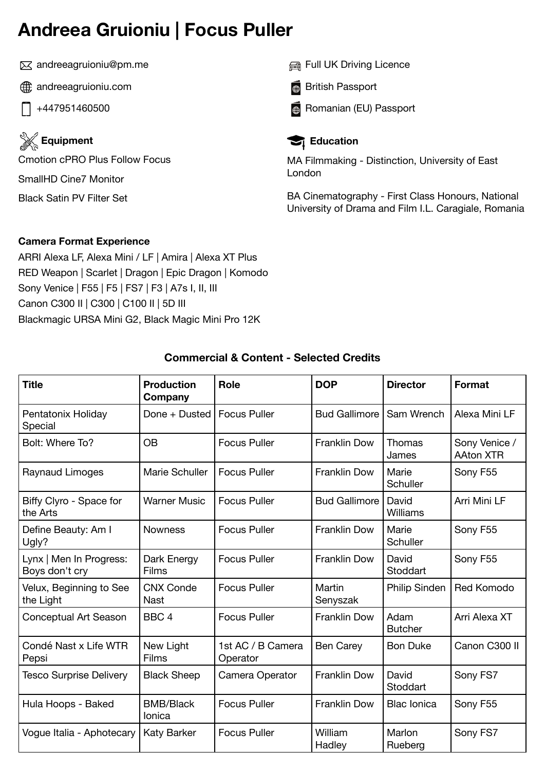# **Andreea Gruioniu | Focus Puller**

andreeagruioniu@pm.me

- **andreeagruioniu.com**
- +447951460500

**Equipment** Cmotion cPRO Plus Follow Focus SmallHD Cine7 Monitor Black Satin PV Filter Set

Full UK Driving Licence

**British Passport** 

**B** Romanian (EU) Passport



MA Filmmaking - Distinction, University of East London

BA Cinematography - First Class Honours, National University of Drama and Film I.L. Caragiale, Romania

## **Camera Format Experience**

ARRI Alexa LF, Alexa Mini / LF | Amira | Alexa XT Plus RED Weapon | Scarlet | Dragon | Epic Dragon | Komodo Sony Venice | F55 | F5 | FS7 | F3 | A7s I, II, III Canon C300 II | C300 | C100 II | 5D III Blackmagic URSA Mini G2, Black Magic Mini Pro 12K

| <b>Title</b>                              | <b>Production</b><br>Company    | Role                          | <b>DOP</b>           | <b>Director</b>        | <b>Format</b>                     |
|-------------------------------------------|---------------------------------|-------------------------------|----------------------|------------------------|-----------------------------------|
| Pentatonix Holiday<br>Special             | Done + Dusted                   | <b>Focus Puller</b>           | <b>Bud Gallimore</b> | Sam Wrench             | Alexa Mini LF                     |
| Bolt: Where To?                           | <b>OB</b>                       | <b>Focus Puller</b>           | <b>Franklin Dow</b>  | Thomas<br>James        | Sony Venice /<br><b>AAton XTR</b> |
| Raynaud Limoges                           | Marie Schuller                  | <b>Focus Puller</b>           | <b>Franklin Dow</b>  | Marie<br>Schuller      | Sony F55                          |
| Biffy Clyro - Space for<br>the Arts       | <b>Warner Music</b>             | <b>Focus Puller</b>           | <b>Bud Gallimore</b> | David<br>Williams      | Arri Mini LF                      |
| Define Beauty: Am I<br>Ugly?              | <b>Nowness</b>                  | <b>Focus Puller</b>           | <b>Franklin Dow</b>  | Marie<br>Schuller      | Sony F55                          |
| Lynx   Men In Progress:<br>Boys don't cry | Dark Energy<br>Films            | <b>Focus Puller</b>           | <b>Franklin Dow</b>  | David<br>Stoddart      | Sony F55                          |
| Velux, Beginning to See<br>the Light      | <b>CNX Conde</b><br><b>Nast</b> | <b>Focus Puller</b>           | Martin<br>Senyszak   | <b>Philip Sinden</b>   | <b>Red Komodo</b>                 |
| <b>Conceptual Art Season</b>              | BBC <sub>4</sub>                | <b>Focus Puller</b>           | <b>Franklin Dow</b>  | Adam<br><b>Butcher</b> | Arri Alexa XT                     |
| Condé Nast x Life WTR<br>Pepsi            | New Light<br>Films              | 1st AC / B Camera<br>Operator | <b>Ben Carey</b>     | <b>Bon Duke</b>        | Canon C300 II                     |
| <b>Tesco Surprise Delivery</b>            | <b>Black Sheep</b>              | Camera Operator               | <b>Franklin Dow</b>  | David<br>Stoddart      | Sony FS7                          |
| Hula Hoops - Baked                        | <b>BMB/Black</b><br>Ionica      | <b>Focus Puller</b>           | <b>Franklin Dow</b>  | <b>Blac lonica</b>     | Sony F55                          |
| Vogue Italia - Aphotecary                 | <b>Katy Barker</b>              | <b>Focus Puller</b>           | William<br>Hadley    | Marlon<br>Rueberg      | Sony FS7                          |

# **Commercial & Content - Selected Credits**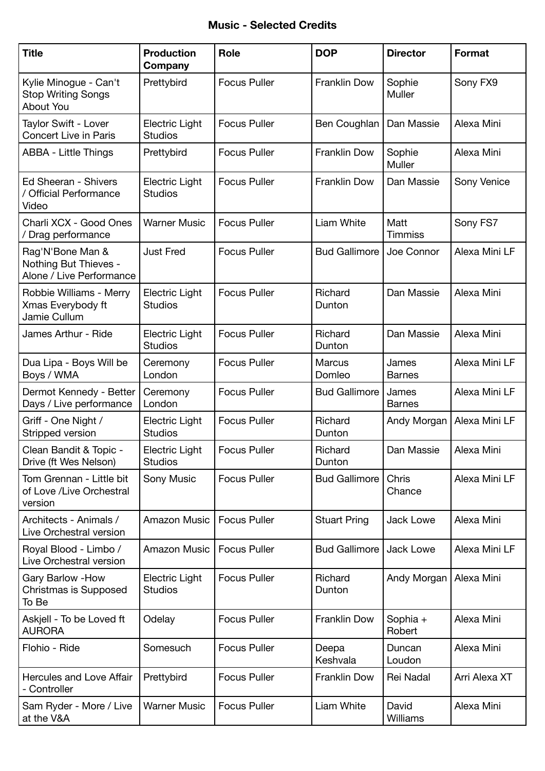#### **Music - Selected Credits**

| <b>Title</b>                                                          | <b>Production</b><br>Company            | <b>Role</b>         | <b>DOP</b>              | <b>Director</b>        | <b>Format</b> |
|-----------------------------------------------------------------------|-----------------------------------------|---------------------|-------------------------|------------------------|---------------|
| Kylie Minogue - Can't<br><b>Stop Writing Songs</b><br>About You       | Prettybird                              | <b>Focus Puller</b> | Franklin Dow            | Sophie<br>Muller       | Sony FX9      |
| Taylor Swift - Lover<br><b>Concert Live in Paris</b>                  | <b>Electric Light</b><br><b>Studios</b> | <b>Focus Puller</b> | Ben Coughlan            | Dan Massie             | Alexa Mini    |
| <b>ABBA - Little Things</b>                                           | Prettybird                              | <b>Focus Puller</b> | Franklin Dow            | Sophie<br>Muller       | Alexa Mini    |
| Ed Sheeran - Shivers<br>/ Official Performance<br>Video               | <b>Electric Light</b><br><b>Studios</b> | <b>Focus Puller</b> | Franklin Dow            | Dan Massie             | Sony Venice   |
| Charli XCX - Good Ones<br>/ Drag performance                          | <b>Warner Music</b>                     | <b>Focus Puller</b> | <b>Liam White</b>       | Matt<br><b>Timmiss</b> | Sony FS7      |
| Rag'N'Bone Man &<br>Nothing But Thieves -<br>Alone / Live Performance | <b>Just Fred</b>                        | <b>Focus Puller</b> | <b>Bud Gallimore</b>    | Joe Connor             | Alexa Mini LF |
| Robbie Williams - Merry<br>Xmas Everybody ft<br>Jamie Cullum          | <b>Electric Light</b><br><b>Studios</b> | <b>Focus Puller</b> | Richard<br>Dunton       | Dan Massie             | Alexa Mini    |
| James Arthur - Ride                                                   | <b>Electric Light</b><br><b>Studios</b> | <b>Focus Puller</b> | Richard<br>Dunton       | Dan Massie             | Alexa Mini    |
| Dua Lipa - Boys Will be<br>Boys / WMA                                 | Ceremony<br>London                      | <b>Focus Puller</b> | <b>Marcus</b><br>Domleo | James<br><b>Barnes</b> | Alexa Mini LF |
| Dermot Kennedy - Better<br>Days / Live performance                    | Ceremony<br>London                      | <b>Focus Puller</b> | <b>Bud Gallimore</b>    | James<br><b>Barnes</b> | Alexa Mini LF |
| Griff - One Night /<br>Stripped version                               | <b>Electric Light</b><br><b>Studios</b> | <b>Focus Puller</b> | Richard<br>Dunton       | Andy Morgan            | Alexa Mini LF |
| Clean Bandit & Topic -<br>Drive (ft Wes Nelson)                       | Electric Light<br><b>Studios</b>        | <b>Focus Puller</b> | Richard<br>Dunton       | Dan Massie             | Alexa Mini    |
| Tom Grennan - Little bit<br>of Love /Live Orchestral<br>version       | Sony Music                              | <b>Focus Puller</b> | <b>Bud Gallimore</b>    | Chris<br>Chance        | Alexa Mini LF |
| Architects - Animals /<br>Live Orchestral version                     | Amazon Music                            | <b>Focus Puller</b> | <b>Stuart Pring</b>     | <b>Jack Lowe</b>       | Alexa Mini    |
| Royal Blood - Limbo /<br>Live Orchestral version                      | <b>Amazon Music</b>                     | <b>Focus Puller</b> | <b>Bud Gallimore</b>    | Jack Lowe              | Alexa Mini LF |
| Gary Barlow - How<br>Christmas is Supposed<br>To Be                   | Electric Light<br><b>Studios</b>        | <b>Focus Puller</b> | Richard<br>Dunton       | Andy Morgan            | Alexa Mini    |
| Askjell - To be Loved ft<br><b>AURORA</b>                             | Odelay                                  | <b>Focus Puller</b> | Franklin Dow            | Sophia +<br>Robert     | Alexa Mini    |
| Flohio - Ride                                                         | Somesuch                                | <b>Focus Puller</b> | Deepa<br>Keshvala       | Duncan<br>Loudon       | Alexa Mini    |
| Hercules and Love Affair<br>- Controller                              | Prettybird                              | <b>Focus Puller</b> | Franklin Dow            | Rei Nadal              | Arri Alexa XT |
| Sam Ryder - More / Live<br>at the V&A                                 | <b>Warner Music</b>                     | <b>Focus Puller</b> | Liam White              | David<br>Williams      | Alexa Mini    |